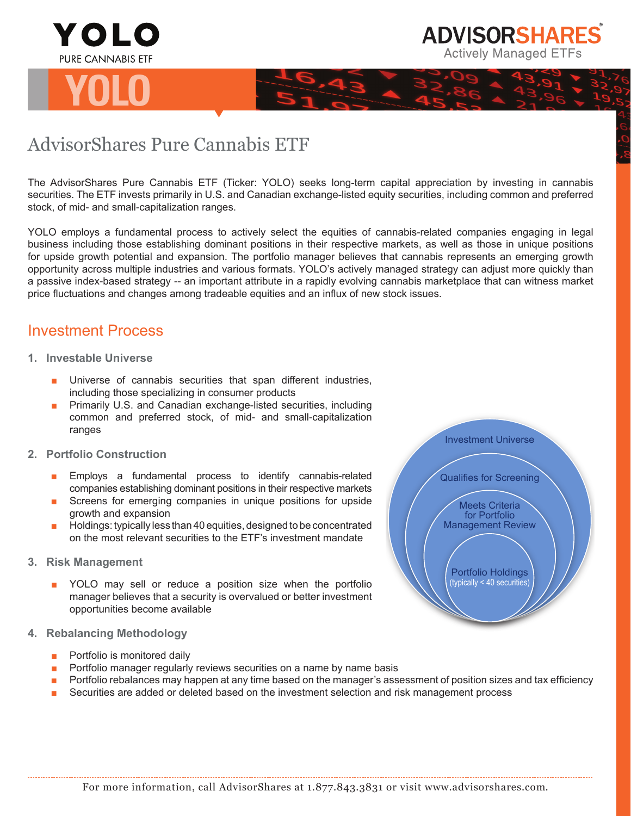



## AdvisorShares Pure Cannabis ETF

The AdvisorShares Pure Cannabis ETF (Ticker: YOLO) seeks long-term capital appreciation by investing in cannabis securities. The ETF invests primarily in U.S. and Canadian exchange-listed equity securities, including common and preferred stock, of mid- and small-capitalization ranges.

YOLO employs a fundamental process to actively select the equities of cannabis-related companies engaging in legal business including those establishing dominant positions in their respective markets, as well as those in unique positions for upside growth potential and expansion. The portfolio manager believes that cannabis represents an emerging growth opportunity across multiple industries and various formats. YOLO's actively managed strategy can adjust more quickly than a passive index-based strategy -- an important attribute in a rapidly evolving cannabis marketplace that can witness market price fluctuations and changes among tradeable equities and an influx of new stock issues.

## Investment Process

- **1. Investable Universe**
	- Universe of cannabis securities that span different industries, including those specializing in consumer products
	- Primarily U.S. and Canadian exchange-listed securities, including common and preferred stock, of mid- and small-capitalization ranges
- **2. Portfolio Construction**
	- Employs a fundamental process to identify cannabis-related companies establishing dominant positions in their respective markets
	- Screens for emerging companies in unique positions for upside growth and expansion
	- Holdings: typically less than 40 equities, designed to be concentrated on the most relevant securities to the ETF's investment mandate
- **3. Risk Management**
	- YOLO may sell or reduce a position size when the portfolio manager believes that a security is overvalued or better investment opportunities become available
- **4. Rebalancing Methodology**
	- Portfolio is monitored daily
	- Portfolio manager regularly reviews securities on a name by name basis
	- Portfolio rebalances may happen at any time based on the manager's assessment of position sizes and tax efficiency
	- Securities are added or deleted based on the investment selection and risk management process